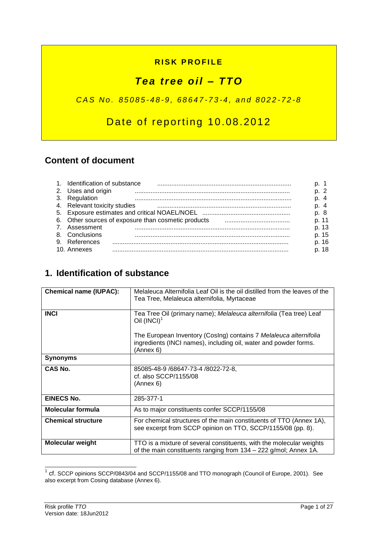### **RISK PROFILE**

# *Tea tree oil – TTO*

### *C A S N o . 8 5 0 8 5 - 4 8 - 9 , 6 8 6 4 7 - 7 3 - 4 , a n d 8 0 2 2 - 7 2 - 8*

# Date of reporting 10.08.2012

### **Content of document**

| 1. Identification of substance |                                                     |       |
|--------------------------------|-----------------------------------------------------|-------|
| 2. Uses and origin             |                                                     | n 2   |
| 3. Regulation                  |                                                     | p. 4  |
| 4. Relevant toxicity studies   |                                                     |       |
|                                |                                                     | p. 8  |
|                                | 6. Other sources of exposure than cosmetic products | p. 11 |
| Assessment                     |                                                     | p. 13 |
| 8. Conclusions                 |                                                     | p. 15 |
| 9. References                  |                                                     | p. 16 |
| 10. Annexes                    |                                                     | p. 18 |

## **1. Identification of substance**

| <b>Chemical name (IUPAC):</b> | Melaleuca Alternifolia Leaf Oil is the oil distilled from the leaves of the<br>Tea Tree, Melaleuca alternifolia, Myrtaceae                         |
|-------------------------------|----------------------------------------------------------------------------------------------------------------------------------------------------|
| <b>INCI</b>                   | Tea Tree Oil (primary name); Melaleuca alternifolia (Tea tree) Leaf<br>Oil $(INCI)^1$                                                              |
|                               | The European Inventory (Cosing) contains 7 Melaleuca alternifolia<br>ingredients (INCI names), including oil, water and powder forms.<br>(Annex 6) |
| <b>Synonyms</b>               |                                                                                                                                                    |
| CAS No.                       | 85085-48-9 /68647-73-4 /8022-72-8,<br>cf. also SCCP/1155/08<br>(Annex 6)                                                                           |
| <b>EINECS No.</b>             | 285-377-1                                                                                                                                          |
| <b>Molecular formula</b>      | As to major constituents confer SCCP/1155/08                                                                                                       |
| <b>Chemical structure</b>     | For chemical structures of the main constituents of TTO (Annex 1A),<br>see excerpt from SCCP opinion on TTO, SCCP/1155/08 (pp. 8).                 |
| <b>Molecular weight</b>       | TTO is a mixture of several constituents, with the molecular weights<br>of the main constituents ranging from 134 – 222 g/mol; Annex 1A.           |

 1 cf. SCCP opinions SCCP/0843/04 and SCCP/1155/08 and TTO monograph (Council of Europe, 2001). See also excerpt from Cosing database (Annex 6).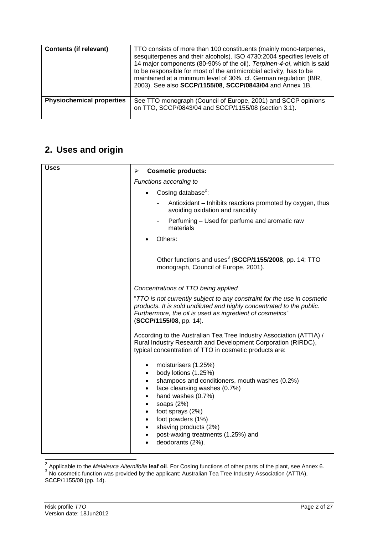| <b>Contents (if relevant)</b>    | TTO consists of more than 100 constituents (mainly mono-terpenes,<br>sesquiterpenes and their alcohols). ISO 4730:2004 specifies levels of<br>14 major components (80-90% of the oil). Terpinen-4-ol, which is said<br>to be responsible for most of the antimicrobial activity, has to be<br>maintained at a minimum level of 30%, cf. German regulation (BfR,<br>2003). See also SCCP/1155/08, SCCP/0843/04 and Annex 1B. |
|----------------------------------|-----------------------------------------------------------------------------------------------------------------------------------------------------------------------------------------------------------------------------------------------------------------------------------------------------------------------------------------------------------------------------------------------------------------------------|
| <b>Physiochemical properties</b> | See TTO monograph (Council of Europe, 2001) and SCCP opinions<br>on TTO, SCCP/0843/04 and SCCP/1155/08 (section 3.1).                                                                                                                                                                                                                                                                                                       |

# **2. Uses and origin**

| <b>Uses</b> | <b>Cosmetic products:</b><br>➤                                                                                                                                                                                                                                                                                                                                                                                             |
|-------------|----------------------------------------------------------------------------------------------------------------------------------------------------------------------------------------------------------------------------------------------------------------------------------------------------------------------------------------------------------------------------------------------------------------------------|
|             | Functions according to                                                                                                                                                                                                                                                                                                                                                                                                     |
|             | Cosing database <sup>2</sup> :                                                                                                                                                                                                                                                                                                                                                                                             |
|             | Antioxidant - Inhibits reactions promoted by oxygen, thus<br>$\overline{\phantom{a}}$<br>avoiding oxidation and rancidity                                                                                                                                                                                                                                                                                                  |
|             | Perfuming - Used for perfume and aromatic raw<br>materials                                                                                                                                                                                                                                                                                                                                                                 |
|             | Others:                                                                                                                                                                                                                                                                                                                                                                                                                    |
|             | Other functions and uses <sup>3</sup> (SCCP/1155/2008, pp. 14; TTO<br>monograph, Council of Europe, 2001).                                                                                                                                                                                                                                                                                                                 |
|             | Concentrations of TTO being applied                                                                                                                                                                                                                                                                                                                                                                                        |
|             | "TTO is not currently subject to any constraint for the use in cosmetic<br>products. It is sold undiluted and highly concentrated to the public.<br>Furthermore, the oil is used as ingredient of cosmetics"<br>(SCCP/1155/08, pp. 14).                                                                                                                                                                                    |
|             | According to the Australian Tea Tree Industry Association (ATTIA) /<br>Rural Industry Research and Development Corporation (RIRDC),<br>typical concentration of TTO in cosmetic products are:                                                                                                                                                                                                                              |
|             | moisturisers (1.25%)<br>٠<br>body lotions (1.25%)<br>$\bullet$<br>shampoos and conditioners, mouth washes (0.2%)<br>$\bullet$<br>face cleansing washes (0.7%)<br>$\bullet$<br>hand washes (0.7%)<br>$\bullet$<br>soaps $(2%)$<br>$\bullet$<br>foot sprays (2%)<br>$\bullet$<br>foot powders (1%)<br>$\bullet$<br>shaving products (2%)<br>$\bullet$<br>post-waxing treatments (1.25%) and<br>$\bullet$<br>deodorants (2%). |

 2 Applicable to the *Melaleuca Alternifolia* **leaf oil**. For CosIng functions of other parts of the plant, see Annex 6. 3 No cosmetic function was provided by the applicant: Australian Tea Tree Industry Association (ATTIA),

SCCP/1155/08 (pp. 14).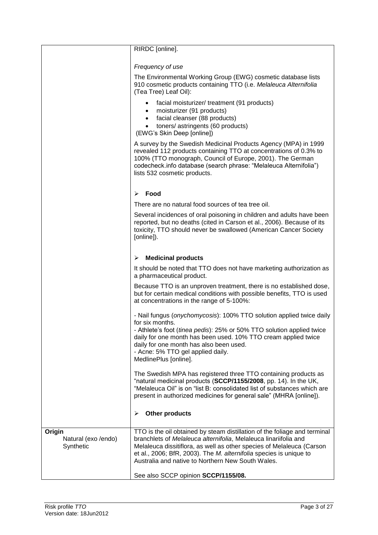|                                            | RIRDC [online].                                                                                                                                                                                                                                                                                                                                      |
|--------------------------------------------|------------------------------------------------------------------------------------------------------------------------------------------------------------------------------------------------------------------------------------------------------------------------------------------------------------------------------------------------------|
|                                            | Frequency of use                                                                                                                                                                                                                                                                                                                                     |
|                                            | The Environmental Working Group (EWG) cosmetic database lists<br>910 cosmetic products containing TTO (i.e. Melaleuca Alternifolia<br>(Tea Tree) Leaf Oil):                                                                                                                                                                                          |
|                                            | facial moisturizer/ treatment (91 products)<br>moisturizer (91 products)<br>$\bullet$<br>facial cleanser (88 products)<br>$\bullet$<br>toners/ astringents (60 products)<br>(EWG's Skin Deep [online])                                                                                                                                               |
|                                            | A survey by the Swedish Medicinal Products Agency (MPA) in 1999<br>revealed 112 products containing TTO at concentrations of 0.3% to<br>100% (TTO monograph, Council of Europe, 2001). The German<br>codecheck.info database (search phrase: "Melaleuca Alternifolia")<br>lists 532 cosmetic products.                                               |
|                                            | Food<br>➤                                                                                                                                                                                                                                                                                                                                            |
|                                            | There are no natural food sources of tea tree oil.                                                                                                                                                                                                                                                                                                   |
|                                            | Several incidences of oral poisoning in children and adults have been<br>reported, but no deaths (cited in Carson et al., 2006). Because of its<br>toxicity, TTO should never be swallowed (American Cancer Society<br>[online]).                                                                                                                    |
|                                            | <b>Medicinal products</b><br>➤                                                                                                                                                                                                                                                                                                                       |
|                                            | It should be noted that TTO does not have marketing authorization as<br>a pharmaceutical product.                                                                                                                                                                                                                                                    |
|                                            | Because TTO is an unproven treatment, there is no established dose,<br>but for certain medical conditions with possible benefits, TTO is used<br>at concentrations in the range of 5-100%:                                                                                                                                                           |
|                                            | - Nail fungus ( <i>onychomycosis</i> ): 100% TTO solution applied twice daily<br>for six months.<br>- Athlete's foot (tinea pedis): 25% or 50% TTO solution applied twice<br>daily for one month has been used. 10% TTO cream applied twice<br>daily for one month has also been used.<br>- Acne: 5% TTO gel applied daily.<br>MedlinePlus [online]. |
|                                            | The Swedish MPA has registered three TTO containing products as<br>"natural medicinal products (SCCP/1155/2008, pp. 14). In the UK,<br>"Melaleuca Oil" is on "list B: consolidated list of substances which are<br>present in authorized medicines for general sale" (MHRA [online]).                                                                |
|                                            | Other products<br>➤                                                                                                                                                                                                                                                                                                                                  |
| Origin<br>Natural (exo /endo)<br>Synthetic | TTO is the oil obtained by steam distillation of the foliage and terminal<br>branchlets of Melaleuca alternifolia, Melaleuca linariifolia and<br>Melaleuca dissitiflora, as well as other species of Melaleuca (Carson<br>et al., 2006; BfR, 2003). The M. alternifolia species is unique to<br>Australia and native to Northern New South Wales.    |
|                                            | See also SCCP opinion SCCP/1155/08.                                                                                                                                                                                                                                                                                                                  |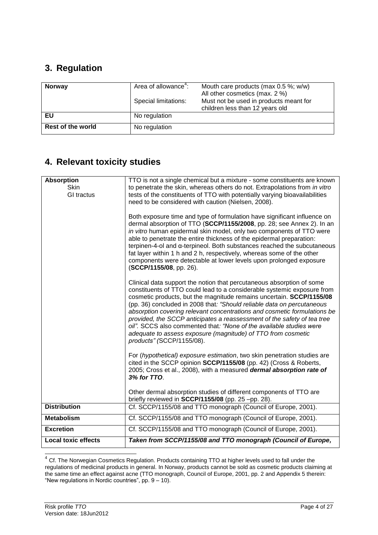# **3. Regulation**

| <b>Norway</b>            | Area of allowance <sup>4</sup> :<br>Special limitations: | Mouth care products (max 0.5 %; w/w)<br>All other cosmetics (max. 2 %)<br>Must not be used in products meant for<br>children less than 12 years old |
|--------------------------|----------------------------------------------------------|-----------------------------------------------------------------------------------------------------------------------------------------------------|
| EU                       | No regulation                                            |                                                                                                                                                     |
| <b>Rest of the world</b> | No regulation                                            |                                                                                                                                                     |

# **4. Relevant toxicity studies**

| <b>Absorption</b><br><b>Skin</b><br>GI tractus | TTO is not a single chemical but a mixture - some constituents are known<br>to penetrate the skin, whereas others do not. Extrapolations from in vitro<br>tests of the constituents of TTO with potentially varying bioavailabilities<br>need to be considered with caution (Nielsen, 2008).<br>Both exposure time and type of formulation have significant influence on<br>dermal absorption of TTO (SCCP/1155/2008, pp. 28; see Annex 2). In an<br>in vitro human epidermal skin model, only two components of TTO were<br>able to penetrate the entire thickness of the epidermal preparation:<br>terpinen-4-ol and a-terpineol. Both substances reached the subcutaneous<br>fat layer within 1 h and 2 h, respectively, whereas some of the other<br>components were detectable at lower levels upon prolonged exposure<br>(SCCP/1155/08, pp. 26).<br>Clinical data support the notion that percutaneous absorption of some<br>constituents of TTO could lead to a considerable systemic exposure from<br>cosmetic products, but the magnitude remains uncertain. SCCP/1155/08<br>(pp. 36) concluded in 2008 that: "Should reliable data on percutaneous<br>absorption covering relevant concentrations and cosmetic formulations be<br>provided, the SCCP anticipates a reassessment of the safety of tea tree<br>oil". SCCS also commented that: "None of the available studies were<br>adequate to assess exposure (magnitude) of TTO from cosmetic<br>products" (SCCP/1155/08).<br>For (hypothetical) exposure estimation, two skin penetration studies are<br>cited in the SCCP opinion SCCP/1155/08 (pp. 42) (Cross & Roberts,<br>2005; Cross et al., 2008), with a measured dermal absorption rate of<br>3% for TTO.<br>Other dermal absorption studies of different components of TTO are |
|------------------------------------------------|-------------------------------------------------------------------------------------------------------------------------------------------------------------------------------------------------------------------------------------------------------------------------------------------------------------------------------------------------------------------------------------------------------------------------------------------------------------------------------------------------------------------------------------------------------------------------------------------------------------------------------------------------------------------------------------------------------------------------------------------------------------------------------------------------------------------------------------------------------------------------------------------------------------------------------------------------------------------------------------------------------------------------------------------------------------------------------------------------------------------------------------------------------------------------------------------------------------------------------------------------------------------------------------------------------------------------------------------------------------------------------------------------------------------------------------------------------------------------------------------------------------------------------------------------------------------------------------------------------------------------------------------------------------------------------------------------------------------------------------------------------------------------------------------------------|
| <b>Distribution</b>                            | briefly reviewed in SCCP/1155/08 (pp. 25 -pp. 28).<br>Cf. SCCP/1155/08 and TTO monograph (Council of Europe, 2001).                                                                                                                                                                                                                                                                                                                                                                                                                                                                                                                                                                                                                                                                                                                                                                                                                                                                                                                                                                                                                                                                                                                                                                                                                                                                                                                                                                                                                                                                                                                                                                                                                                                                                   |
|                                                |                                                                                                                                                                                                                                                                                                                                                                                                                                                                                                                                                                                                                                                                                                                                                                                                                                                                                                                                                                                                                                                                                                                                                                                                                                                                                                                                                                                                                                                                                                                                                                                                                                                                                                                                                                                                       |
| <b>Metabolism</b>                              | Cf. SCCP/1155/08 and TTO monograph (Council of Europe, 2001).                                                                                                                                                                                                                                                                                                                                                                                                                                                                                                                                                                                                                                                                                                                                                                                                                                                                                                                                                                                                                                                                                                                                                                                                                                                                                                                                                                                                                                                                                                                                                                                                                                                                                                                                         |
| <b>Excretion</b>                               | Cf. SCCP/1155/08 and TTO monograph (Council of Europe, 2001).                                                                                                                                                                                                                                                                                                                                                                                                                                                                                                                                                                                                                                                                                                                                                                                                                                                                                                                                                                                                                                                                                                                                                                                                                                                                                                                                                                                                                                                                                                                                                                                                                                                                                                                                         |
| <b>Local toxic effects</b>                     | Taken from SCCP/1155/08 and TTO monograph (Council of Europe,                                                                                                                                                                                                                                                                                                                                                                                                                                                                                                                                                                                                                                                                                                                                                                                                                                                                                                                                                                                                                                                                                                                                                                                                                                                                                                                                                                                                                                                                                                                                                                                                                                                                                                                                         |

<sup>————————————————————&</sup>lt;br><sup>4</sup> Cf. The Norwegian Cosmetics Regulation. Products containing TTO at higher levels used to fall under the regulations of medicinal products in general. In Norway, products cannot be sold as cosmetic products claiming at the same time an effect against acne (TTO monograph, Council of Europe, 2001, pp. 2 and Appendix 5 therein: "New regulations in Nordic countries", pp.  $9 - 10$ ).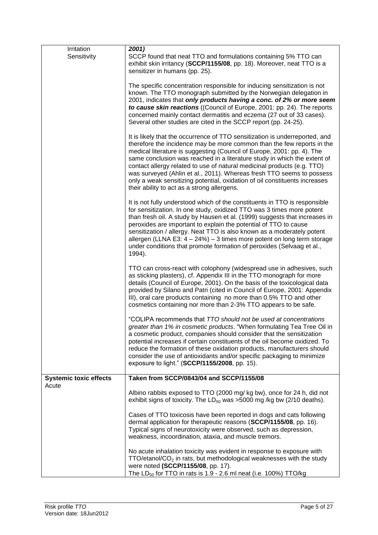| Irritation                             | 2001)                                                                                                                                                                                                                                                                                                                                                                                                                                                                                                                                                                                        |
|----------------------------------------|----------------------------------------------------------------------------------------------------------------------------------------------------------------------------------------------------------------------------------------------------------------------------------------------------------------------------------------------------------------------------------------------------------------------------------------------------------------------------------------------------------------------------------------------------------------------------------------------|
| Sensitivity                            | SCCP found that neat TTO and formulations containing 5% TTO can<br>exhibit skin irritancy (SCCP/1155/08, pp. 18). Moreover, neat TTO is a<br>sensitizer in humans (pp. 25).                                                                                                                                                                                                                                                                                                                                                                                                                  |
|                                        | The specific concentration responsible for inducing sensitization is not<br>known. The TTO monograph submitted by the Norwegian delegation in<br>2001, indicates that only products having a conc. of 2% or more seem<br>to cause skin reactions ((Council of Europe, 2001: pp. 24). The reports<br>concerned mainly contact dermatitis and eczema (27 out of 33 cases).<br>Several other studies are cited in the SCCP report (pp. 24-25).                                                                                                                                                  |
|                                        | It is likely that the occurrence of TTO sensitization is underreported, and<br>therefore the incidence may be more common than the few reports in the<br>medical literature is suggesting (Council of Europe, 2001: pp. 4). The<br>same conclusion was reached in a literature study in which the extent of<br>contact allergy related to use of natural medicinal products (e.g. TTO)<br>was surveyed (Ahlin et al., 2011). Whereas fresh TTO seems to possess<br>only a weak sensitizing potential, oxidation of oil constituents increases<br>their ability to act as a strong allergens. |
|                                        | It is not fully understood which of the constituents in TTO is responsible<br>for sensitization. In one study, oxidized TTO was 3 times more potent<br>than fresh oil. A study by Hausen et al. (1999) suggests that increases in<br>peroxides are important to explain the potential of TTO to cause<br>sensitization / allergy. Neat TTO is also known as a moderately potent<br>allergen (LLNA E3: $4 - 24\%$ ) - 3 times more potent on long term storage<br>under conditions that promote formation of peroxides (Selvaag et al.,<br>1994).                                             |
|                                        | TTO can cross-react with colophony (widespread use in adhesives, such<br>as sticking plasters), cf. Appendix III in the TTO monograph for more<br>details (Council of Europe, 2001). On the basis of the toxicological data<br>provided by Silano and Patri (cited in Council of Europe, 2001: Appendix<br>III), oral care products containing no more than 0.5% TTO and other<br>cosmetics containing nor more than 2-3% TTO appears to be safe.                                                                                                                                            |
|                                        | "COLIPA recommends that TTO should not be used at concentrations<br>greater than 1% in cosmetic products. "When formulating Tea Tree Oil in<br>a cosmetic product, companies should consider that the sensitization<br>potential increases if certain constituents of the oil become oxidized. To<br>reduce the formation of these oxidation products, manufacturers should<br>consider the use of antioxidants and/or specific packaging to minimize<br>exposure to light." (SCCP/1155/2008, pp. 15).                                                                                       |
| <b>Systemic toxic effects</b><br>Acute | Taken from SCCP/0843/04 and SCCP/1155/08                                                                                                                                                                                                                                                                                                                                                                                                                                                                                                                                                     |
|                                        | Albino rabbits exposed to TTO (2000 mg/ kg bw), once for 24 h, did not<br>exhibit signs of toxicity. The $LD_{50}$ was >5000 mg /kg bw (2/10 deaths).                                                                                                                                                                                                                                                                                                                                                                                                                                        |
|                                        | Cases of TTO toxicosis have been reported in dogs and cats following<br>dermal application for therapeutic reasons (SCCP/1155/08, pp. 16).<br>Typical signs of neurotoxicity were observed, such as depression,<br>weakness, incoordination, ataxia, and muscle tremors.                                                                                                                                                                                                                                                                                                                     |
|                                        | No acute inhalation toxicity was evident in response to exposure with<br>$TTO/etanol/CO2$ in rats, but methodological weaknesses with the study<br>were noted (SCCP/1155/08, pp. 17).<br>The LD <sub>50</sub> for TTO in rats is 1.9 - 2.6 ml neat (i.e. 100%) TTO/kg                                                                                                                                                                                                                                                                                                                        |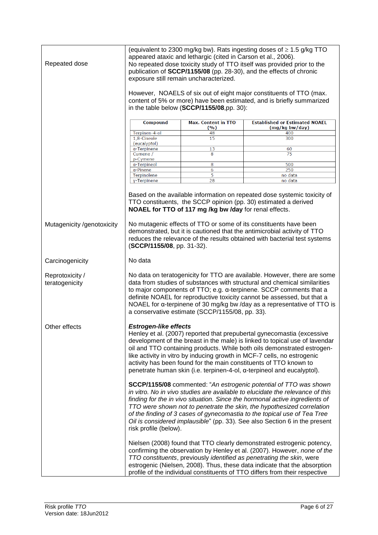| Repeated dose                     | (equivalent to 2300 mg/kg bw). Rats ingesting doses of $\geq$ 1.5 g/kg TTO<br>appeared ataxic and lethargic (cited in Carson et al., 2006).<br>No repeated dose toxicity study of TTO itself was provided prior to the<br>publication of SCCP/1155/08 (pp. 28-30), and the effects of chronic<br>exposure still remain uncharacterized.<br>However, NOAELS of six out of eight major constituents of TTO (max.<br>content of 5% or more) have been estimated, and is briefly summarized<br>in the table below (SCCP/1155/08,pp. 30): |                                                        |                                                                                                                                                                                                                                                                                                                                                                                                                                                                       |
|-----------------------------------|--------------------------------------------------------------------------------------------------------------------------------------------------------------------------------------------------------------------------------------------------------------------------------------------------------------------------------------------------------------------------------------------------------------------------------------------------------------------------------------------------------------------------------------|--------------------------------------------------------|-----------------------------------------------------------------------------------------------------------------------------------------------------------------------------------------------------------------------------------------------------------------------------------------------------------------------------------------------------------------------------------------------------------------------------------------------------------------------|
|                                   | <b>Compound</b>                                                                                                                                                                                                                                                                                                                                                                                                                                                                                                                      | <b>Max. Content in TTO</b><br>( %)                     | <b>Established or Estimated NOAEL</b><br>(mg/kg bw/day)                                                                                                                                                                                                                                                                                                                                                                                                               |
|                                   | Terpinen-4-ol                                                                                                                                                                                                                                                                                                                                                                                                                                                                                                                        | 48                                                     | 400                                                                                                                                                                                                                                                                                                                                                                                                                                                                   |
|                                   | 1,8-Cineole                                                                                                                                                                                                                                                                                                                                                                                                                                                                                                                          | 15                                                     | 300                                                                                                                                                                                                                                                                                                                                                                                                                                                                   |
|                                   | (eucalyptol)                                                                                                                                                                                                                                                                                                                                                                                                                                                                                                                         |                                                        |                                                                                                                                                                                                                                                                                                                                                                                                                                                                       |
|                                   | a-Terpinene<br>Cumene /<br>p-Cymene                                                                                                                                                                                                                                                                                                                                                                                                                                                                                                  | 13<br>8                                                | 60<br>75                                                                                                                                                                                                                                                                                                                                                                                                                                                              |
|                                   | a-Terpineol                                                                                                                                                                                                                                                                                                                                                                                                                                                                                                                          | 8                                                      | 500                                                                                                                                                                                                                                                                                                                                                                                                                                                                   |
|                                   | a-Pinene                                                                                                                                                                                                                                                                                                                                                                                                                                                                                                                             | 6                                                      | 250                                                                                                                                                                                                                                                                                                                                                                                                                                                                   |
|                                   | Terpinolene                                                                                                                                                                                                                                                                                                                                                                                                                                                                                                                          | 5                                                      | no data                                                                                                                                                                                                                                                                                                                                                                                                                                                               |
|                                   | y-Terpinene                                                                                                                                                                                                                                                                                                                                                                                                                                                                                                                          | 28                                                     | no data                                                                                                                                                                                                                                                                                                                                                                                                                                                               |
|                                   |                                                                                                                                                                                                                                                                                                                                                                                                                                                                                                                                      | NOAEL for TTO of 117 mg /kg bw /day for renal effects. | Based on the available information on repeated dose systemic toxicity of<br>TTO constituents, the SCCP opinion (pp. 30) estimated a derived                                                                                                                                                                                                                                                                                                                           |
| Mutagenicity /genotoxicity        | (SCCP/1155/08, pp. 31-32).                                                                                                                                                                                                                                                                                                                                                                                                                                                                                                           |                                                        | No mutagenic effects of TTO or some of its constituents have been<br>demonstrated, but it is cautioned that the antimicrobial activity of TTO<br>reduces the relevance of the results obtained with bacterial test systems                                                                                                                                                                                                                                            |
| Carcinogenicity                   | No data                                                                                                                                                                                                                                                                                                                                                                                                                                                                                                                              |                                                        |                                                                                                                                                                                                                                                                                                                                                                                                                                                                       |
| Reprotoxicity /<br>teratogenicity |                                                                                                                                                                                                                                                                                                                                                                                                                                                                                                                                      | a conservative estimate (SCCP/1155/08, pp. 33).        | No data on teratogenicity for TTO are available. However, there are some<br>data from studies of substances with structural and chemical similarities<br>to major components of TTO; e.g. α-terpinene. SCCP comments that a<br>definite NOAEL for reproductive toxicity cannot be assessed, but that a<br>NOAEL for a-terpinene of 30 mg/kg bw /day as a representative of TTO is                                                                                     |
| Other effects                     | <b>Estrogen-like effects</b><br>Henley et al. (2007) reported that prepubertal gynecomastia (excessive<br>development of the breast in the male) is linked to topical use of lavendar<br>oil and TTO containing products. While both oils demonstrated estrogen-<br>like activity in vitro by inducing growth in MCF-7 cells, no estrogenic<br>activity has been found for the main constituents of TTO known to<br>penetrate human skin (i.e. terpinen-4-ol, α-terpineol and eucalyptol).                                           |                                                        |                                                                                                                                                                                                                                                                                                                                                                                                                                                                       |
|                                   | risk profile (below).                                                                                                                                                                                                                                                                                                                                                                                                                                                                                                                |                                                        | SCCP/1155/08 commented: "An estrogenic potential of TTO was shown<br>in vitro. No in vivo studies are available to elucidate the relevance of this<br>finding for the in vivo situation. Since the hormonal active ingredients of<br>TTO were shown not to penetrate the skin, the hypothesized correlation<br>of the finding of 3 cases of gynecomastia to the topical use of Tea Tree<br>Oil is considered implausible" (pp. 33). See also Section 6 in the present |
|                                   |                                                                                                                                                                                                                                                                                                                                                                                                                                                                                                                                      |                                                        | Nielsen (2008) found that TTO clearly demonstrated estrogenic potency,<br>confirming the observation by Henley et al. (2007). However, none of the<br>TTO constituents, previously identified as penetrating the skin, were<br>estrogenic (Nielsen, 2008). Thus, these data indicate that the absorption<br>profile of the individual constituents of TTO differs from their respective                                                                               |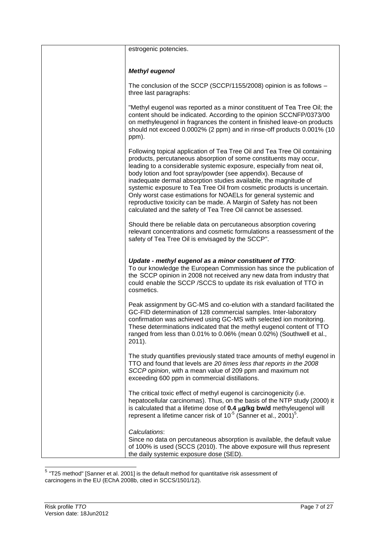| estrogenic potencies.                                                                                                                                                                                                                                                                                                                                                                                                                                                                                                                                                                                                                            |
|--------------------------------------------------------------------------------------------------------------------------------------------------------------------------------------------------------------------------------------------------------------------------------------------------------------------------------------------------------------------------------------------------------------------------------------------------------------------------------------------------------------------------------------------------------------------------------------------------------------------------------------------------|
| <b>Methyl eugenol</b>                                                                                                                                                                                                                                                                                                                                                                                                                                                                                                                                                                                                                            |
| The conclusion of the SCCP (SCCP/1155/2008) opinion is as follows -<br>three last paragraphs:                                                                                                                                                                                                                                                                                                                                                                                                                                                                                                                                                    |
| "Methyl eugenol was reported as a minor constituent of Tea Tree Oil; the<br>content should be indicated. According to the opinion SCCNFP/0373/00<br>on methyleugenol in fragrances the content in finished leave-on products<br>should not exceed 0.0002% (2 ppm) and in rinse-off products 0.001% (10<br>ppm).                                                                                                                                                                                                                                                                                                                                  |
| Following topical application of Tea Tree Oil and Tea Tree Oil containing<br>products, percutaneous absorption of some constituents may occur,<br>leading to a considerable systemic exposure, especially from neat oil,<br>body lotion and foot spray/powder (see appendix). Because of<br>inadequate dermal absorption studies available, the magnitude of<br>systemic exposure to Tea Tree Oil from cosmetic products is uncertain.<br>Only worst case estimations for NOAELs for general systemic and<br>reproductive toxicity can be made. A Margin of Safety has not been<br>calculated and the safety of Tea Tree Oil cannot be assessed. |
| Should there be reliable data on percutaneous absorption covering<br>relevant concentrations and cosmetic formulations a reassessment of the<br>safety of Tea Tree Oil is envisaged by the SCCP".                                                                                                                                                                                                                                                                                                                                                                                                                                                |
| Update - methyl eugenol as a minor constituent of TTO:<br>To our knowledge the European Commission has since the publication of<br>the SCCP opinion in 2008 not received any new data from industry that<br>could enable the SCCP /SCCS to update its risk evaluation of TTO in<br>cosmetics.                                                                                                                                                                                                                                                                                                                                                    |
| Peak assignment by GC-MS and co-elution with a standard facilitated the<br>GC-FID determination of 128 commercial samples. Inter-laboratory<br>confirmation was achieved using GC-MS with selected ion monitoring.<br>These determinations indicated that the methyl eugenol content of TTO<br>ranged from less than 0.01% to 0.06% (mean 0.02%) (Southwell et al.,<br>$2011$ ).                                                                                                                                                                                                                                                                 |
| The study quantifies previously stated trace amounts of methyl eugenol in<br>TTO and found that levels are 20 times less that reports in the 2008<br>SCCP opinion, with a mean value of 209 ppm and maximum not<br>exceeding 600 ppm in commercial distillations.                                                                                                                                                                                                                                                                                                                                                                                |
| The critical toxic effect of methyl eugenol is carcinogenicity (i.e.<br>hepatocellular carcinomas). Thus, on the basis of the NTP study (2000) it<br>is calculated that a lifetime dose of $0.4 \mu g/kg$ bw/d methyleugenol will<br>represent a lifetime cancer risk of $10^{-5}$ (Sanner et al., 2001) <sup>5</sup> .                                                                                                                                                                                                                                                                                                                          |
| Calculations:<br>Since no data on percutaneous absorption is available, the default value<br>of 100% is used (SCCS (2010). The above exposure will thus represent<br>the daily systemic exposure dose (SED).                                                                                                                                                                                                                                                                                                                                                                                                                                     |

 5 "T25 method" [Sanner et al. 2001] is the default method for quantitative risk assessment of carcinogens in the EU (EChA 2008b, cited in SCCS/1501/12).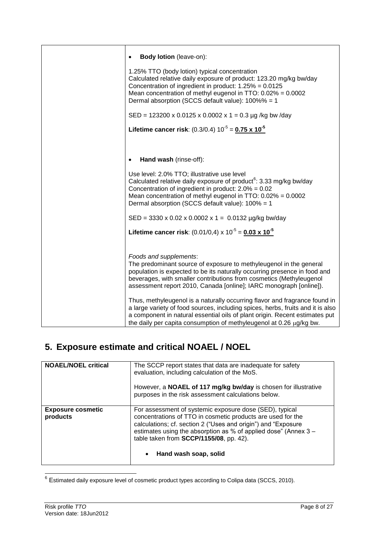| <b>Body lotion</b> (leave-on):                                                                                                                                                                                                                                                                                         |
|------------------------------------------------------------------------------------------------------------------------------------------------------------------------------------------------------------------------------------------------------------------------------------------------------------------------|
| 1.25% TTO (body lotion) typical concentration<br>Calculated relative daily exposure of product: 123.20 mg/kg bw/day<br>Concentration of ingredient in product: $1.25% = 0.0125$<br>Mean concentration of methyl eugenol in TTO: $0.02\% = 0.0002$<br>Dermal absorption (SCCS default value): 100%% = 1                 |
| SED = 123200 x 0.0125 x 0.0002 x 1 = 0.3 µg /kg bw /day                                                                                                                                                                                                                                                                |
| Lifetime cancer risk: $(0.3/0.4) 10^{-5} = 0.75 \times 10^{-5}$                                                                                                                                                                                                                                                        |
|                                                                                                                                                                                                                                                                                                                        |
| Hand wash (rinse-off):<br>$\bullet$                                                                                                                                                                                                                                                                                    |
| Use level: 2.0% TTO; illustrative use level<br>Calculated relative daily exposure of product <sup>6</sup> : 3.33 mg/kg bw/day<br>Concentration of ingredient in product: $2.0\% = 0.02$<br>Mean concentration of methyl eugenol in TTO: 0.02% = 0.0002<br>Dermal absorption (SCCS default value): 100% = 1             |
| $SED = 3330 \times 0.02 \times 0.0002 \times 1 = 0.0132 \mu g/kg$ bw/day                                                                                                                                                                                                                                               |
| Lifetime cancer risk: $(0.01/0,4) \times 10^{-5} = 0.03 \times 10^{-5}$                                                                                                                                                                                                                                                |
|                                                                                                                                                                                                                                                                                                                        |
| Foods and supplements:<br>The predominant source of exposure to methyleugenol in the general<br>population is expected to be its naturally occurring presence in food and<br>beverages, with smaller contributions from cosmetics (Methyleugenol<br>assessment report 2010, Canada [online]; IARC monograph [online]). |
| Thus, methyleugenol is a naturally occurring flavor and fragrance found in<br>a large variety of food sources, including spices, herbs, fruits and it is also<br>a component in natural essential oils of plant origin. Recent estimates put<br>the daily per capita consumption of methyleugenol at 0.26 µg/kg bw.    |

# **5. Exposure estimate and critical NOAEL / NOEL**

| <b>NOAEL/NOEL critical</b>           | The SCCP report states that data are inadequate for safety<br>evaluation, including calculation of the MoS.<br>However, a NOAEL of 117 mg/kg bw/day is chosen for illustrative<br>purposes in the risk assessment calculations below.                                                                                          |
|--------------------------------------|--------------------------------------------------------------------------------------------------------------------------------------------------------------------------------------------------------------------------------------------------------------------------------------------------------------------------------|
| <b>Exposure cosmetic</b><br>products | For assessment of systemic exposure dose (SED), typical<br>concentrations of TTO in cosmetic products are used for the<br>calculations; cf. section 2 ("Uses and origin") and "Exposure<br>estimates using the absorption as % of applied dose" (Annex 3 -<br>table taken from SCCP/1155/08, pp. 42).<br>Hand wash soap, solid |

 6 Estimated daily exposure level of cosmetic product types according to Colipa data (SCCS, 2010).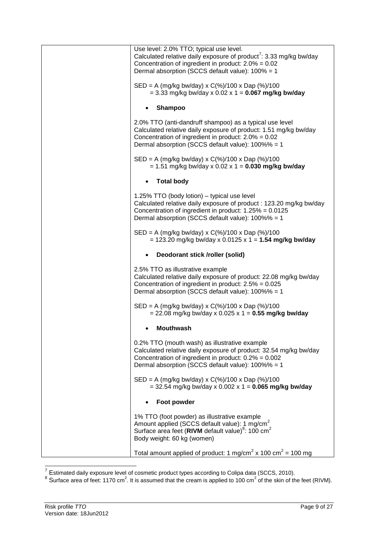| Use level: 2.0% TTO; typical use level.<br>Calculated relative daily exposure of product <sup>7</sup> : 3.33 mg/kg bw/day<br>Concentration of ingredient in product: $2.0\% = 0.02$<br>Dermal absorption (SCCS default value): 100% = 1    |
|--------------------------------------------------------------------------------------------------------------------------------------------------------------------------------------------------------------------------------------------|
| $SED = A (mg/kg bw/day) \times C(\%)/100 \times Dap (\%)/100$<br>$= 3.33$ mg/kg bw/day x 0.02 x 1 = 0.067 mg/kg bw/day                                                                                                                     |
| <b>Shampoo</b>                                                                                                                                                                                                                             |
| 2.0% TTO (anti-dandruff shampoo) as a typical use level<br>Calculated relative daily exposure of product: 1.51 mg/kg bw/day<br>Concentration of ingredient in product: $2.0\% = 0.02$<br>Dermal absorption (SCCS default value): 100%% = 1 |
| SED = A (mg/kg bw/day) x C(%)/100 x Dap (%)/100<br>$= 1.51$ mg/kg bw/day x 0.02 x 1 = 0.030 mg/kg bw/day                                                                                                                                   |
| <b>Total body</b>                                                                                                                                                                                                                          |
| 1.25% TTO (body lotion) - typical use level<br>Calculated relative daily exposure of product: 123.20 mg/kg bw/day<br>Concentration of ingredient in product: $1.25% = 0.0125$<br>Dermal absorption (SCCS default value): 100%% = 1         |
| $SED = A (mg/kg bw/day) \times C(\%)/100 \times Dap (\%)/100$<br>= 123.20 mg/kg bw/day x 0.0125 x 1 = 1.54 mg/kg bw/day                                                                                                                    |
| Deodorant stick /roller (solid)                                                                                                                                                                                                            |
| 2.5% TTO as illustrative example<br>Calculated relative daily exposure of product: 22.08 mg/kg bw/day<br>Concentration of ingredient in product: $2.5% = 0.025$<br>Dermal absorption (SCCS default value): 100%% = 1                       |
| $SED = A (mg/kg bw/day) \times C(\%)/100 \times Dap (\%)/100$<br>$= 22.08$ mg/kg bw/day x 0.025 x 1 = 0.55 mg/kg bw/day                                                                                                                    |
| <b>Mouthwash</b>                                                                                                                                                                                                                           |
| 0.2% TTO (mouth wash) as illustrative example<br>Calculated relative daily exposure of product: 32.54 mg/kg bw/day<br>Concentration of ingredient in product: $0.2\% = 0.002$<br>Dermal absorption (SCCS default value): 100%% = 1         |
| $SED = A (mg/kg bw/day) \times C(\%)/100 \times Dap (\%)/100$<br>$=$ 32.54 mg/kg bw/day x 0.002 x 1 = 0.065 mg/kg bw/day                                                                                                                   |
| Foot powder                                                                                                                                                                                                                                |
| 1% TTO (foot powder) as illustrative example<br>Amount applied (SCCS default value): 1 mg/cm <sup>2</sup><br>Surface area feet (RIVM default value) <sup>8</sup> : 100 cm <sup>2</sup><br>Body weight: 60 kg (women)                       |
| Total amount applied of product: 1 mg/cm <sup>2</sup> x 100 cm <sup>2</sup> = 100 mg                                                                                                                                                       |

 7 Estimated daily exposure level of cosmetic product types according to Colipa data (SCCS, 2010). 8 Surface area of feet: 1170 cm<sup>2</sup> . It is assumed that the cream is applied to 100 cm<sup>2</sup> of the skin of the feet (RIVM).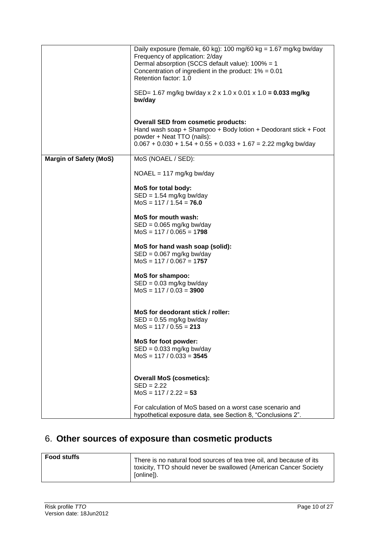|                               | Daily exposure (female, 60 kg): 100 mg/60 kg = $1.67$ mg/kg bw/day<br>Frequency of application: 2/day<br>Dermal absorption (SCCS default value): 100% = 1<br>Concentration of ingredient in the product: $1\% = 0.01$<br>Retention factor: 1.0<br>SED= 1.67 mg/kg bw/day x 2 x 1.0 x 0.01 x 1.0 = 0.033 mg/kg<br>bw/day<br><b>Overall SED from cosmetic products:</b><br>Hand wash soap + Shampoo + Body lotion + Deodorant stick + Foot |
|-------------------------------|------------------------------------------------------------------------------------------------------------------------------------------------------------------------------------------------------------------------------------------------------------------------------------------------------------------------------------------------------------------------------------------------------------------------------------------|
|                               | powder + Neat TTO (nails):<br>$0.067 + 0.030 + 1.54 + 0.55 + 0.033 + 1.67 = 2.22$ mg/kg bw/day                                                                                                                                                                                                                                                                                                                                           |
| <b>Margin of Safety (MoS)</b> | MoS (NOAEL / SED):                                                                                                                                                                                                                                                                                                                                                                                                                       |
|                               | $NOAEL = 117$ mg/kg bw/day                                                                                                                                                                                                                                                                                                                                                                                                               |
|                               | MoS for total body:<br>$SED = 1.54$ mg/kg bw/day<br>$MoS = 117 / 1.54 = 76.0$                                                                                                                                                                                                                                                                                                                                                            |
|                               | <b>MoS for mouth wash:</b><br>$SED = 0.065$ mg/kg bw/day<br>$MoS = 117 / 0.065 = 1798$                                                                                                                                                                                                                                                                                                                                                   |
|                               | MoS for hand wash soap (solid):<br>$SED = 0.067$ mg/kg bw/day<br>$MoS = 117 / 0.067 = 1757$                                                                                                                                                                                                                                                                                                                                              |
|                               | <b>MoS for shampoo:</b><br>$SED = 0.03$ mg/kg bw/day<br>$MoS = 117 / 0.03 = 3900$                                                                                                                                                                                                                                                                                                                                                        |
|                               | MoS for deodorant stick / roller:<br>$SED = 0.55$ mg/kg bw/day<br>$MoS = 117 / 0.55 = 213$                                                                                                                                                                                                                                                                                                                                               |
|                               | MoS for foot powder:<br>$SED = 0.033$ mg/kg bw/day<br>$MoS = 117 / 0.033 = 3545$                                                                                                                                                                                                                                                                                                                                                         |
|                               | <b>Overall MoS (cosmetics):</b><br>$SED = 2.22$<br>$MoS = 117 / 2.22 = 53$                                                                                                                                                                                                                                                                                                                                                               |
|                               | For calculation of MoS based on a worst case scenario and<br>hypothetical exposure data, see Section 8, "Conclusions 2".                                                                                                                                                                                                                                                                                                                 |

# 6. **Other sources of exposure than cosmetic products**

| <b>Food stuffs</b> | There is no natural food sources of tea tree oil, and because of its<br>toxicity, TTO should never be swallowed (American Cancer Society<br>[online]). |
|--------------------|--------------------------------------------------------------------------------------------------------------------------------------------------------|
|                    |                                                                                                                                                        |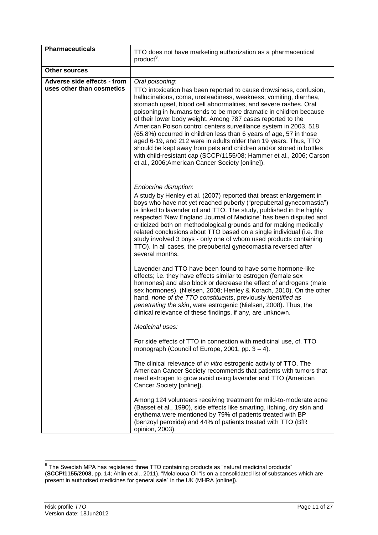| <b>Pharmaceuticals</b>                                   |                                                                                                                                                                                                                                                                                                                                                                                                                                                                                                                                                                                                                                                                                                                                                                                    |
|----------------------------------------------------------|------------------------------------------------------------------------------------------------------------------------------------------------------------------------------------------------------------------------------------------------------------------------------------------------------------------------------------------------------------------------------------------------------------------------------------------------------------------------------------------------------------------------------------------------------------------------------------------------------------------------------------------------------------------------------------------------------------------------------------------------------------------------------------|
|                                                          | TTO does not have marketing authorization as a pharmaceutical<br>product <sup>9</sup> .                                                                                                                                                                                                                                                                                                                                                                                                                                                                                                                                                                                                                                                                                            |
| <b>Other sources</b>                                     |                                                                                                                                                                                                                                                                                                                                                                                                                                                                                                                                                                                                                                                                                                                                                                                    |
| Adverse side effects - from<br>uses other than cosmetics | Oral poisoning:<br>TTO intoxication has been reported to cause drowsiness, confusion,<br>hallucinations, coma, unsteadiness, weakness, vomiting, diarrhea,<br>stomach upset, blood cell abnormalities, and severe rashes. Oral<br>poisoning in humans tends to be more dramatic in children because<br>of their lower body weight. Among 787 cases reported to the<br>American Poison control centers surveillance system in 2003, 518<br>(65.8%) occurred in children less than 6 years of age, 57 in those<br>aged 6-19, and 212 were in adults older than 19 years. Thus, TTO<br>should be kept away from pets and children and/or stored in bottles<br>with child-resistant cap (SCCP/1155/08; Hammer et al., 2006; Carson<br>et al., 2006; American Cancer Society [online]). |
|                                                          | Endocrine disruption:<br>A study by Henley et al. (2007) reported that breast enlargement in<br>boys who have not yet reached puberty ("prepubertal gynecomastia")<br>is linked to lavender oil and TTO. The study, published in the highly<br>respected 'New England Journal of Medicine' has been disputed and<br>criticized both on methodological grounds and for making medically<br>related conclusions about TTO based on a single individual (i.e. the<br>study involved 3 boys - only one of whom used products containing<br>TTO). In all cases, the prepubertal gynecomastia reversed after<br>several months.                                                                                                                                                          |
|                                                          | Lavender and TTO have been found to have some hormone-like<br>effects; i.e. they have effects similar to estrogen (female sex<br>hormones) and also block or decrease the effect of androgens (male<br>sex hormones). (Nielsen, 2008; Henley & Korach, 2010). On the other<br>hand, none of the TTO constituents, previously identified as<br>penetrating the skin, were estrogenic (Nielsen, 2008). Thus, the<br>clinical relevance of these findings, if any, are unknown.                                                                                                                                                                                                                                                                                                       |
|                                                          | Medicinal uses:                                                                                                                                                                                                                                                                                                                                                                                                                                                                                                                                                                                                                                                                                                                                                                    |
|                                                          | For side effects of TTO in connection with medicinal use, cf. TTO<br>monograph (Council of Europe, 2001, pp. $3 - 4$ ).                                                                                                                                                                                                                                                                                                                                                                                                                                                                                                                                                                                                                                                            |
|                                                          | The clinical relevance of in vitro estrogenic activity of TTO. The<br>American Cancer Society recommends that patients with tumors that<br>need estrogen to grow avoid using lavender and TTO (American<br>Cancer Society [online]).                                                                                                                                                                                                                                                                                                                                                                                                                                                                                                                                               |
|                                                          | Among 124 volunteers receiving treatment for mild-to-moderate acne<br>(Basset et al., 1990), side effects like smarting, itching, dry skin and<br>erythema were mentioned by 79% of patients treated with BP<br>(benzoyl peroxide) and 44% of patients treated with TTO (BfR<br>opinion, 2003).                                                                                                                                                                                                                                                                                                                                                                                                                                                                                    |

 9 The Swedish MPA has registered three TTO containing products as "natural medicinal products" (**SCCP/1155/2008**, pp. 14; Ahlin et al., 2011). "Melaleuca Oil "is on a consolidated list of substances which are present in authorised medicines for general sale" in the UK (MHRA [online]).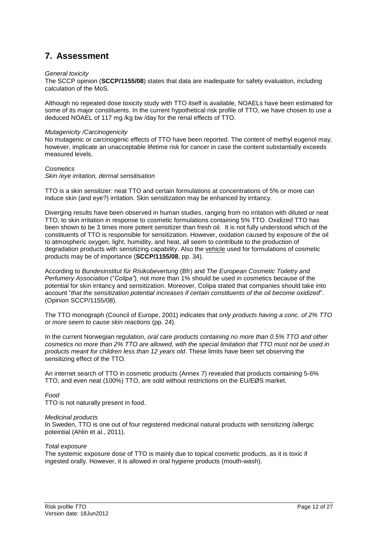## **7. Assessment**

#### *General toxicity*

The SCCP opinion (**SCCP/1155/08**) states that data are inadequate for safety evaluation, including calculation of the MoS.

Although no repeated dose toxicity study with TTO itself is available, NOAELs have been estimated for some of its major constituents. In the current hypothetical risk profile of TTO, we have chosen to use a deduced NOAEL of 117 mg /kg bw /day for the renal effects of TTO.

#### *Mutagenicity /Carcinogenicity*

No mutagenic or carcinogenic effects of TTO have been reported. The content of methyl eugenol may, however, implicate an unacceptable lifetime risk for cancer in case the content substantially exceeds measured levels.

#### *Cosmetics Skin /eye irritation, dermal sensitisation*

TTO is a skin sensitizer: neat TTO and certain formulations at concentrations of 5% or more can induce skin (and eye?) irritation. Skin sensitization may be enhanced by irritancy.

Diverging results have been observed in human studies, ranging from no irritation with diluted or neat TTO, to skin irritation in response to cosmetic formulations containing 5% TTO. Oxidized TTO has been shown to be 3 times more potent sensitizer than fresh oil. It is not fully understood which of the constituents of TTO is responsible for sensitization. However, oxidation caused by exposure of the oil to atmospheric oxygen, light, humidity, and heat, all seem to contribute to the production of degradation products with sensitizing capability. Also the vehicle used for formulations of cosmetic products may be of importance (**SCCP/1155/08**, pp. 34).

According to *Bundesinstitut für Risikobevertung* (Bfr) and *The European Cosmetic Toiletry and Perfumery Association* ("*Colipa"*), not more than 1% should be used in cosmetics because of the potential for skin irritancy and sensitization. Moreover, Colipa stated that companies should take into account "*that the sensitization potential increases if certain constituents of the oil become oxidized*". (Opinion SCCP/1155/08).

The TTO monograph (Council of Europe, 2001) indicates that *only products having a conc. of 2% TTO or more seem to cause skin reactions* (pp. 24).

In the current Norwegian regulation, *oral care products containing no more than 0.5% TTO and other cosmetics no more than 2% TTO are allowed, with the special limitation that TTO must not be used in products meant for children less than 12 years old*. These limits have been set observing the sensitizing effect of the TTO.

An internet search of TTO in cosmetic products (Annex 7) revealed that products containing 5-6% TTO, and even neat (100%) TTO, are sold without restrictions on the EU/EØS market.

#### *Food*

TTO is not naturally present in food.

#### *Medicinal products*

In Sweden, TTO is one out of four registered medicinal natural products with sensitizing /allergic poteintial (Ahlin et al., 2011).

#### *Total exposure*

The systemic exposure dose of TTO is mainly due to topical cosmetic products, as it is toxic if ingested orally. However, it is allowed in oral hygiene products (mouth-wash).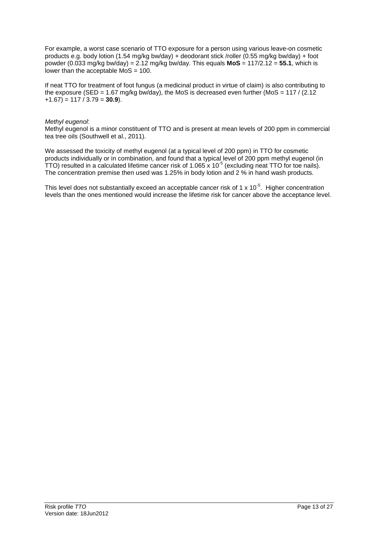For example, a worst case scenario of TTO exposure for a person using various leave-on cosmetic products e.g. body lotion (1.54 mg/kg bw/day) + deodorant stick /roller (0.55 mg/kg bw/day) + foot powder (0.033 mg/kg bw/day) =  $2.12$  mg/kg bw/day. This equals  $\text{MoS} = 117/2.12 = 55.1$ , which is lower than the acceptable  $MoS = 100$ .

If neat TTO for treatment of foot fungus (a medicinal product in virtue of claim) is also contributing to the exposure (SED = 1.67 mg/kg bw/day), the MoS is decreased even further (MoS =  $117 / (2.12)$ +1.67) = 117 / 3.79 = **30.9**).

#### *Methyl eugenol*:

Methyl eugenol is a minor constituent of TTO and is present at mean levels of 200 ppm in commercial tea tree oils (Southwell et al., 2011).

We assessed the toxicity of methyl eugenol (at a typical level of 200 ppm) in TTO for cosmetic products individually or in combination, and found that a typical level of 200 ppm methyl eugenol (in TTO) resulted in a calculated lifetime cancer risk of 1.065 x 10<sup>-5</sup> (excluding neat TTO for toe nails). The concentration premise then used was 1.25% in body lotion and 2 % in hand wash products.

This level does not substantially exceed an acceptable cancer risk of 1 x 10<sup>-5</sup>. Higher concentration levels than the ones mentioned would increase the lifetime risk for cancer above the acceptance level.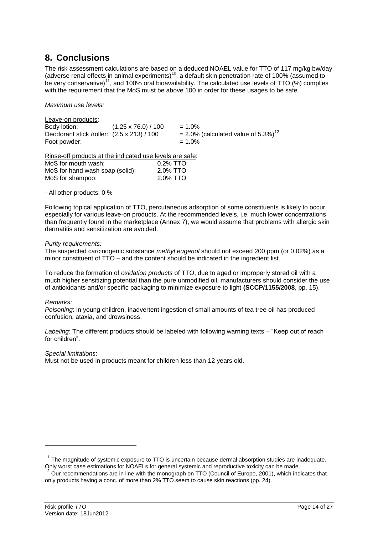### **8. Conclusions**

The risk assessment calculations are based on a deduced NOAEL value for TTO of 117 mg/kg bw/day (adverse renal effects in animal experiments)<sup>10</sup>, a default skin penetration rate of 100% (assumed to be very conservative)<sup>11</sup>, and 100% oral bioavailability. The calculated use levels of TTO (%) complies with the requirement that the MoS must be above 100 in order for these usages to be safe.

*Maximum use levels:*

Leave-on products: Body lotion:  $(1.25 \times 76.0) / 100 = 1.0\%$ <br>Deodorant stick /roller:  $(2.5 \times 213) / 100 = 2.0\%$  (calculated value of 5.3%)<sup>12</sup> Deodorant stick /roller:  $(2.5 \times 213)$  / 100 Foot powder:  $= 1.0\%$ 

Rinse-off products at the indicated use levels are safe:

| MoS for mouth wash:             | $0.2\%$ TTO |
|---------------------------------|-------------|
| MoS for hand wash soap (solid): | 2.0% TTO    |
| MoS for shampoo:                | 2.0% TTO    |

- All other products: 0 %

Following topical application of TTO, percutaneous adsorption of some constituents is likely to occur, especially for various leave-on products. At the recommended levels, i.e. much lower concentrations than frequently found in the marketplace (Annex 7), we would assume that problems with allergic skin dermatitis and sensitization are avoided.

#### *Purity requirements:*

The suspected carcinogenic substance *methyl eugenol* should not exceed 200 ppm (or 0.02%) as a minor constituent of TTO – and the content should be indicated in the ingredient list.

To reduce the formation of *oxidation products* of TTO, due to aged or improperly stored oil with a much higher sensitizing potential than the pure unmodified oil, manufacturers should consider the use of antioxidants and/or specific packaging to minimize exposure to light **(SCCP/1155/2008**, pp. 15).

#### *Remarks:*

-

*Poisoning*: in young children, inadvertent ingestion of small amounts of tea tree oil has produced confusion, ataxia, and drowsiness.

*Labeling*: The different products should be labeled with following warning texts – "Keep out of reach for children".

#### *Special limitations*:

Must not be used in products meant for children less than 12 years old.

 $11$  The magnitude of systemic exposure to TTO is uncertain because dermal absorption studies are inadequate. Only worst case estimations for NOAELs for general systemic and reproductive toxicity can be made.

<sup>&</sup>lt;sup>12</sup> Our recommendations are in line with the monograph on TTO (Council of Europe, 2001), which indicates that only products having a conc. of more than 2% TTO seem to cause skin reactions (pp. 24).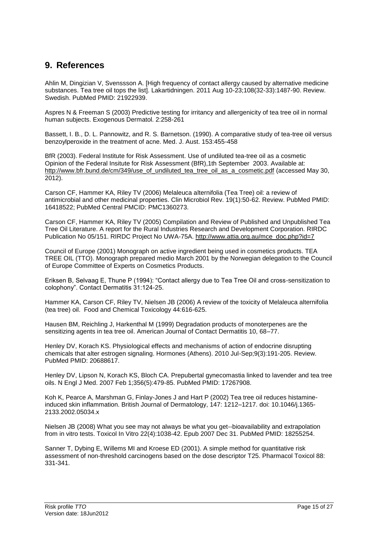## **9. References**

Ahlin M, Dingizian V, Svenssson A. [High frequency of contact allergy caused by alternative medicine substances. Tea tree oil tops the list]. Lakartidningen. 2011 Aug 10-23;108(32-33):1487-90. Review. Swedish. PubMed PMID: 21922939.

Aspres N & Freeman S (2003) Predictive testing for irritancy and allergenicity of tea tree oil in normal human subjects. Exogenous Dermatol. 2:258-261

Bassett, I. B., D. L. Pannowitz, and R. S. Barnetson. (1990). A comparative study of tea-tree oil versus benzoylperoxide in the treatment of acne. Med. J. Aust. 153:455-458

BfR (2003). Federal Institute for Risk Assessment. Use of undiluted tea-tree oil as a cosmetic Opinion of the Federal Insitute for Risk Assessment (BfR),1th September 2003. Available at: [http://www.bfr.bund.de/cm/349/use\\_of\\_undiluted\\_tea\\_tree\\_oil\\_as\\_a\\_cosmetic.pdf](http://www.bfr.bund.de/cm/349/use_of_undiluted_tea_tree_oil_as_a_cosmetic.pdf) (accessed May 30, 2012).

Carson CF, Hammer KA, Riley TV (2006) Melaleuca alternifolia (Tea Tree) oil: a review of antimicrobial and other medicinal properties. Clin Microbiol Rev. 19(1):50-62. Review. PubMed PMID: 16418522; PubMed Central PMCID: PMC1360273.

Carson CF, Hammer KA, Riley TV (2005) Compilation and Review of Published and Unpublished Tea Tree Oil Literature. A report for the Rural Industries Research and Development Corporation. RIRDC Publication No 05/151. RIRDC Project No UWA-75A. [http://www.attia.org.au/mce\\_doc.php?id=7](http://www.attia.org.au/mce_doc.php?id=7)

Council of Europe (2001) Monograph on active ingredient being used in cosmetics products. TEA TREE OIL (TTO). Monograph prepared medio March 2001 by the Norwegian delegation to the Council of Europe Committee of Experts on Cosmetics Products.

Eriksen B, Selvaag E, Thune P (1994): "Contact allergy due to Tea Tree Oil and cross-sensitization to colophony". Contact Dermatitis 31:124-25.

Hammer KA, Carson CF, Riley TV, Nielsen JB (2006) A review of the toxicity of Melaleuca alternifolia (tea tree) oil. Food and Chemical Toxicology 44:616-625.

Hausen BM, Reichling J, Harkenthal M (1999) Degradation products of monoterpenes are the sensitizing agents in tea tree oil. American Journal of Contact Dermatitis 10, 68–77.

Henley DV, Korach KS. Physiological effects and mechanisms of action of endocrine disrupting chemicals that alter estrogen signaling. Hormones (Athens). 2010 Jul-Sep;9(3):191-205. Review. PubMed PMID: 20688617.

Henley DV, Lipson N, Korach KS, Bloch CA. Prepubertal gynecomastia linked to lavender and tea tree oils. N Engl J Med. 2007 Feb 1;356(5):479-85. PubMed PMID: 17267908.

Koh K, Pearce A, Marshman G, Finlay-Jones J and Hart P (2002) Tea tree oil reduces histamineinduced skin inflammation. British Journal of Dermatology, 147: 1212–1217. doi: 10.1046/j.1365- 2133.2002.05034.x

Nielsen JB (2008) What you see may not always be what you get--bioavailability and extrapolation from in vitro tests. Toxicol In Vitro 22(4):1038-42. Epub 2007 Dec 31. PubMed PMID: 18255254.

Sanner T, Dybing E, Willems MI and Kroese ED (2001). A simple method for quantitative risk assessment of non-threshold carcinogens based on the dose descriptor T25. Pharmacol Toxicol 88: 331-341.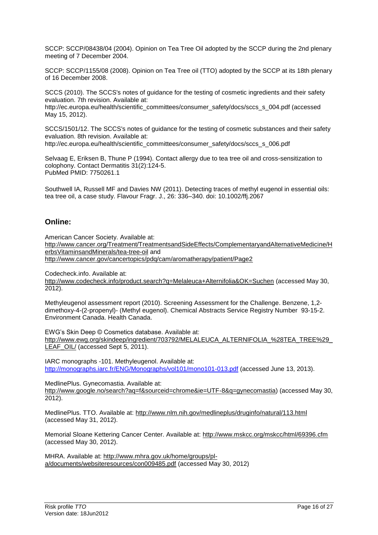SCCP: SCCP/08438/04 (2004). Opinion on Tea Tree Oil adopted by the SCCP during the 2nd plenary meeting of 7 December 2004.

SCCP: SCCP/1155/08 (2008). Opinion on Tea Tree oil (TTO) adopted by the SCCP at its 18th plenary of 16 December 2008.

SCCS (2010). The SCCS's notes of guidance for the testing of cosmetic ingredients and their safety evaluation. 7th revision. Available at:

http://ec.europa.eu/health/scientific\_committees/consumer\_safety/docs/sccs\_s\_004.pdf (accessed May 15, 2012).

SCCS/1501/12. The SCCS's notes of guidance for the testing of cosmetic substances and their safety evaluation. 8th revision. Available at: http://ec.europa.eu/health/scientific\_committees/consumer\_safety/docs/sccs\_s\_006.pdf

Selvaag E, Eriksen B, Thune P (1994). Contact allergy due to tea tree oil and cross-sensitization to colophony. Contact Dermatitis 31(2):124-5.

PubMed PMID: 7750261.1

Southwell IA, Russell MF and Davies NW (2011). Detecting traces of methyl eugenol in essential oils: tea tree oil, a case study. Flavour Fragr. J., 26: 336–340. doi: 10.1002/ffj.2067

### **Online:**

American Cancer Society. Available at:

[http://www.cancer.org/Treatment/TreatmentsandSideEffects/ComplementaryandAlternativeMedicine/H](http://www.cancer.org/Treatment/TreatmentsandSideEffects/ComplementaryandAlternativeMedicine/HerbsVitaminsandMinerals/tea-tree-oil) [erbsVitaminsandMinerals/tea-tree-oil](http://www.cancer.org/Treatment/TreatmentsandSideEffects/ComplementaryandAlternativeMedicine/HerbsVitaminsandMinerals/tea-tree-oil) and <http://www.cancer.gov/cancertopics/pdq/cam/aromatherapy/patient/Page2>

Codecheck.info. Available at:

<http://www.codecheck.info/product.search?q=Melaleuca+Alternifolia&OK=Suchen> (accessed May 30, 2012).

Methyleugenol assessment report (2010). Screening Assessment for the Challenge. Benzene, 1,2 dimethoxy-4-(2-propenyl)- (Methyl eugenol). Chemical Abstracts Service Registry Number 93-15-2. Environment Canada. Health Canada.

EWG's Skin Deep © Cosmetics database. Available at: [http://www.ewg.org/skindeep/ingredient/703792/MELALEUCA\\_ALTERNIFOLIA\\_%28TEA\\_TREE%29\\_](http://www.ewg.org/skindeep/ingredient/703792/MELALEUCA_ALTERNIFOLIA_%28TEA_TREE%29_LEAF_OIL/) [LEAF\\_OIL/](http://www.ewg.org/skindeep/ingredient/703792/MELALEUCA_ALTERNIFOLIA_%28TEA_TREE%29_LEAF_OIL/) (accessed Sept 5, 2011).

IARC monographs -101. Methyleugenol. Available at: <http://monographs.iarc.fr/ENG/Monographs/vol101/mono101-013.pdf> (accessed June 13, 2013).

MedlinePlus. Gynecomastia. Available at: [http://www.google.no/search?aq=f&sourceid=chrome&ie=UTF-8&q=gynecomastia\)](http://www.google.no/search?aq=f&sourceid=chrome&ie=UTF-8&q=gynecomastia) (accessed May 30, 2012).

MedlinePlus. TTO. Available at:<http://www.nlm.nih.gov/medlineplus/druginfo/natural/113.html> (accessed May 31, 2012).

Memorial Sloane Kettering Cancer Center. Available at:<http://www.mskcc.org/mskcc/html/69396.cfm> (accessed May 30, 2012).

MHRA. Available at: [http://www.mhra.gov.uk/home/groups/pl](http://www.mhra.gov.uk/home/groups/pl-a/documents/websiteresources/con009485.pdf)[a/documents/websiteresources/con009485.pdf](http://www.mhra.gov.uk/home/groups/pl-a/documents/websiteresources/con009485.pdf) (accessed May 30, 2012)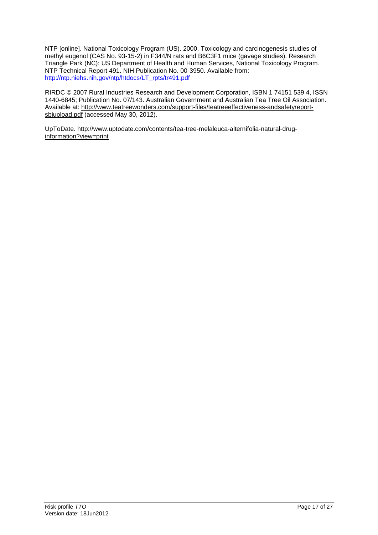NTP [online]. National Toxicology Program (US). 2000. Toxicology and carcinogenesis studies of methyl eugenol (CAS No. 93-15-2) in F344/N rats and B6C3F1 mice (gavage studies). Research Triangle Park (NC): US Department of Health and Human Services, National Toxicology Program. NTP Technical Report 491. NIH Publication No. 00-3950. Available from: [http://ntp.niehs.nih.gov/ntp/htdocs/LT\\_rpts/tr491.pdf](http://ntp.niehs.nih.gov/ntp/htdocs/LT_rpts/tr491.pdf)

RIRDC © 2007 Rural Industries Research and Development Corporation, ISBN 1 74151 539 4, ISSN 1440-6845; Publication No. 07/143. Australian Government and Australian Tea Tree Oil Association. Available at: [http://www.teatreewonders.com/support-files/teatreeeffectiveness-andsafetyreport](http://www.teatreewonders.com/support-files/teatreeeffectiveness-andsafetyreport-sbiupload.pdf)[sbiupload.pdf](http://www.teatreewonders.com/support-files/teatreeeffectiveness-andsafetyreport-sbiupload.pdf) (accessed May 30, 2012).

UpToDate. [http://www.uptodate.com/contents/tea-tree-melaleuca-alternifolia-natural-drug](http://www.uptodate.com/contents/tea-tree-melaleuca-alternifolia-natural-drug-information?view=print)[information?view=print](http://www.uptodate.com/contents/tea-tree-melaleuca-alternifolia-natural-drug-information?view=print)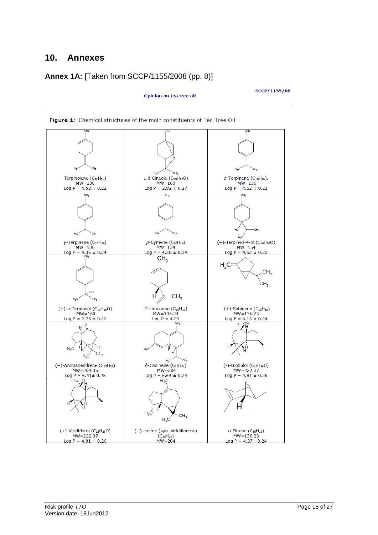## **10. Annexes**

### **Annex 1A:** [Taken from SCCP/1155/2008 (pp. 8)]

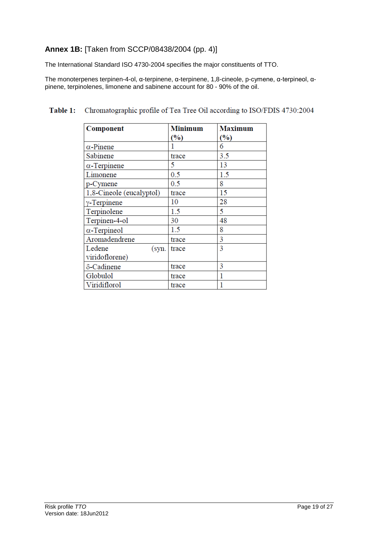### **Annex 1B:** [Taken from SCCP/08438/2004 (pp. 4)]

The International Standard ISO 4730-2004 specifies the major constituents of TTO.

The monoterpenes terpinen-4-ol, α-terpinene, α-terpinene, 1,8-cineole, p-cymene, α-terpineol, αpinene, terpinolenes, limonene and sabinene account for 80 - 90% of the oil.

| Component                | <b>Minimum</b> | <b>Maximum</b> |
|--------------------------|----------------|----------------|
|                          | (%)            | (%)            |
| $\alpha$ -Pinene         |                | 6              |
| Sabinene                 | trace          | 3.5            |
| $\alpha$ -Terpinene      | 5              | 13             |
| Limonene                 | 0.5            | 1.5            |
| p-Cymene                 | 0.5            | 8              |
| 1,8-Cineole (eucalyptol) | trace          | 15             |
| $\gamma$ -Terpinene      | 10             | 28             |
| Terpinolene              | 1.5            | 5              |
| Terpinen-4-ol            | 30             | 48             |
| $\alpha$ -Terpineol      | 1.5            | 8              |
| Aromadendrene            | trace          | 3              |
| Ledene<br>(syn.          | trace          | 3              |
| viridoflorene)           |                |                |
| δ-Cadinene               | trace          | 3              |
| Globulol                 | trace          | 1              |
| Viridiflorol             | trace          |                |

#### Chromatographic profile of Tea Tree Oil according to ISO/FDIS 4730:2004 Table 1: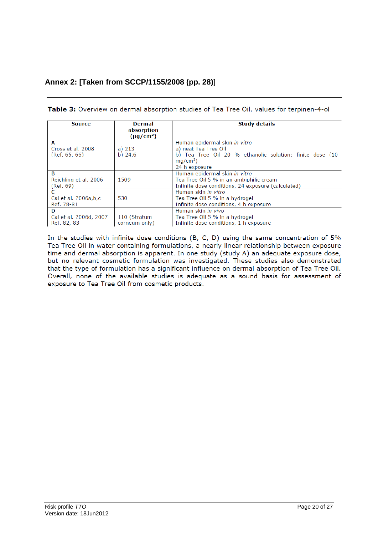## **Annex 2: [Taken from SCCP/1155/2008 (pp. 28)**]

| Source                                  | Dermal<br>absorption<br>$(\mu q/cm^2)$ | <b>Study details</b>                                                                                                           |
|-----------------------------------------|----------------------------------------|--------------------------------------------------------------------------------------------------------------------------------|
| A                                       |                                        | Human epidermal skin in vitro                                                                                                  |
| Cross et al. 2008<br>(Ref. 65, 66)      | a) $213$<br>$b)$ 24.6                  | a) neat Tea Tree Oil<br>b) Tea Tree Oil 20 % ethanolic solution; finite dose (10<br>$ma/cm2$ )<br>24 h exposure                |
| в<br>Reichling et al. 2006<br>(Ref. 69) | 1509                                   | Human epidermal skin in vitro<br>Tea Tree Oil 5 % in an ambiphilic cream<br>Infinite dose conditions, 24 exposure (calculated) |
| C<br>Cal et al. 2006a,b,c<br>Ref. 78-81 | 530                                    | Human skin in vitro<br>Tea Tree Oil 5 % in a hydrogel<br>Infinite dose conditions, 4 h exposure                                |
| D                                       |                                        | Human skin in vivo                                                                                                             |
| Cal et al. 2006d, 2007<br>Ref. 82, 83   | 110 (Stratum<br>corneum only)          | Tea Tree Oil 5 % in a hydrogel<br>Infinite dose conditions, 1 h exposure                                                       |

| Table 3: Overview on dermal absorption studies of Tea Tree Oil, values for terpinen-4-ol |  |  |
|------------------------------------------------------------------------------------------|--|--|
|                                                                                          |  |  |

In the studies with infinite dose conditions (B, C, D) using the same concentration of 5% Tea Tree Oil in water containing formulations, a nearly linear relationship between exposure time and dermal absorption is apparent. In one study (study A) an adequate exposure dose, but no relevant cosmetic formulation was investigated. These studies also demonstrated that the type of formulation has a significant influence on dermal absorption of Tea Tree Oil. Overall, none of the available studies is adequate as a sound basis for assessment of exposure to Tea Tree Oil from cosmetic products.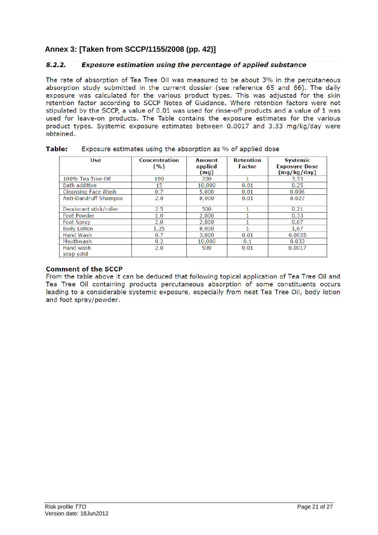### **Annex 3: [Taken from SCCP/1155/2008 (pp. 42)]**

#### $8.2.2.$ Exposure estimation using the percentage of applied substance

The rate of absorption of Tea Tree Oil was measured to be about 3% in the percutaneous absorption study submitted in the current dossier (see reference 65 and 66). The daily exposure was calculated for the various product types. This was adjusted for the skin retention factor according to SCCP Notes of Guidance. Where retention factors were not stipulated by the SCCP, a value of 0.01 was used for rinse-off products and a value of 1 was used for leave-on products. The Table contains the exposure estimates for the various product types. Systemic exposure estimates between 0.0017 and 3.33 mg/kg/day were obtained.

| Use                          | <b>Concentration</b><br>(9/0) | <b>Amount</b><br>applied<br>(mg) | <b>Retention</b><br><b>Factor</b> | <b>Systemic</b><br><b>Exposure Dose</b><br>(mg/kg/day) |
|------------------------------|-------------------------------|----------------------------------|-----------------------------------|--------------------------------------------------------|
| 100% Tea Tree Oil            | 100                           | 200                              |                                   | 3.33                                                   |
| Bath additive                | 15                            | 10,000                           | 0.01                              | 0.25                                                   |
| Cleansing Face Wash          | 0.7                           | 5,000                            | 0.01                              | 0.006                                                  |
| <b>Anti-Dandruff Shampoo</b> | 2.0                           | 8,000                            | 0.01                              | 0.027                                                  |
| Deodorant stick/roller       | 2.5                           | 500                              |                                   | 0.21                                                   |
| Foot Powder                  | 1.0                           | 2,000                            |                                   | 0.33                                                   |
| Foot Spray                   | 2.0                           | 2,000                            |                                   | 0.67                                                   |
| <b>Body Lotion</b>           | 1.25                          | 8,000                            |                                   | 1,67                                                   |
| <b>Hand Wash</b>             | 0.7                           | 3,000                            | 0.01                              | 0.0035                                                 |
| Mouthwash                    | 0.2                           | 10,000                           | 0.1                               | 0.033                                                  |
| Hand wash<br>soap solid      | 2.0                           | 500                              | 0.01                              | 0.0017                                                 |

#### Table: Exposure estimates using the absorption as % of applied dose

### **Comment of the SCCP**

From the table above it can be deduced that following topical application of Tea Tree Oil and Tea Tree Oil containing products percutaneous absorption of some constituents occurs leading to a considerable systemic exposure, especially from neat Tea Tree Oil, body lotion and foot spray/powder.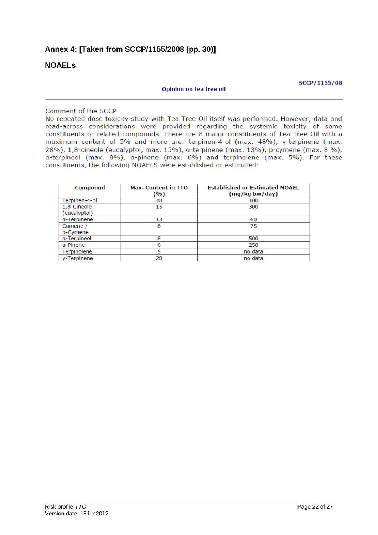### **Annex 4: [Taken from SCCP/1155/2008 (pp. 30)]**

### **NOAELs**

#### Opinion on tea tree oil

**SCCP/1155/08** 

#### Comment of the SCCP

No repeated dose toxicity study with Tea Tree Oil itself was performed. However, data and read-across considerations were provided regarding the systemic toxicity of some constituents or related compounds. There are 8 major constituents of Tea Tree Oil with a maximum content of 5% and more are: terpinen-4-ol (max. 48%), y-terpinene (max. 28%), 1,8-cineole (eucalyptol, max. 15%), a-terpinene (max. 13%), p-cymene (max. 8 %), a-terpineol (max. 8%), a-pinene (max. 6%) and terpinolene (max. 5%). For these constituents, the following NOAELS were established or estimated:

| <b>Compound</b>             | <b>Max. Content in TTO</b><br>(%) | <b>Established or Estimated NOAEL</b><br>(mg/kg bw/day) |
|-----------------------------|-----------------------------------|---------------------------------------------------------|
| Terpinen-4-ol               | 48                                | 400                                                     |
| 1,8-Cineole<br>(eucalyptol) | 15                                | 300                                                     |
| a-Terpinene                 | 13                                | 60                                                      |
| Cumene /<br>p-Cymene        | 8                                 | 75                                                      |
| a-Terpineol                 | 8                                 | 500                                                     |
| g-Pinene                    | 6                                 | 250                                                     |
| Terpinolene                 | 5                                 | no data                                                 |
| y-Terpinene                 | 28                                | no data                                                 |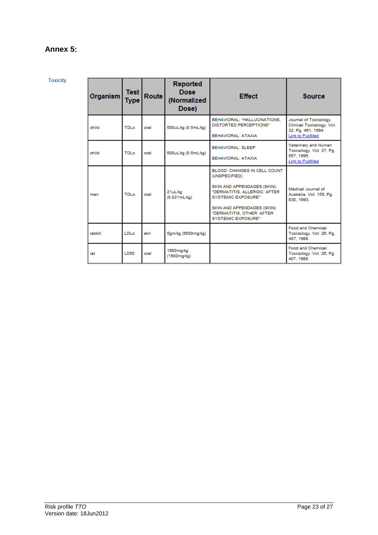### **Annex 5:**

**Toxicity** 

| Organism | Test<br>Type | <b>Route</b> | Reported<br><b>Dose</b><br>(Normalized<br>Dose) | <b>Effect</b>                                                                                                                                                                                                                             | <b>Source</b>                                                                               |
|----------|--------------|--------------|-------------------------------------------------|-------------------------------------------------------------------------------------------------------------------------------------------------------------------------------------------------------------------------------------------|---------------------------------------------------------------------------------------------|
| child    | TDI o        | oral         | 500uL/kg (0.5mL/kg)                             | BEHAVIORAL: "HALLUCINATIONS.<br><b>DISTORTED PERCEPTIONS"</b><br><b>BEHAVIORAL: ATAXIA</b>                                                                                                                                                | Journal of Toxicology,<br>Clinical Toxicology, Vol.<br>32, Pg. 461, 1994.<br>Link to PubMed |
| child    | TDLo         | oral         | 500uL/kg (0.5mL/kg)                             | BEHAVIORAL: SLEEP<br>BEHAVIORAL: ATAXIA                                                                                                                                                                                                   | Veterinary and Human<br>Toxicology. Vol. 37, Pg.<br>557, 1995.<br>Link to PubMed            |
| man      | TDLo         | oral         | 21uL/kg<br>$(0.021 \text{mL/kg})$               | <b>BLOOD: CHANGES IN CELL COUNT</b><br>(UNSPECIFIED)<br>SKIN AND APPENDAGES (SKIN):<br>"DERMATITIS, ALLERGIC: AFTER<br><b>SYSTEMIC EXPOSURE"</b><br>SKIN AND APPENDAGES (SKIN):<br>"DERMATITIS, OTHER: AFTER<br><b>SYSTEMIC EXPOSURE"</b> | Medical Journal of<br>Australia. Vol. 159, Pg.<br>830, 1993.                                |
| rabbit   | LDLo.        | skin         | 5gm/kg (5000mg/kg)                              |                                                                                                                                                                                                                                           | <b>Food and Chemical</b><br>Toxicology. Vol. 26, Pg.<br>407.1988.                           |
| rat      | <b>LD50</b>  | oral         | 1900mg/kg<br>(1900mg/kg)                        |                                                                                                                                                                                                                                           | <b>Food and Chemical</b><br>Toxicology. Vol. 26, Pg.<br>407.1988.                           |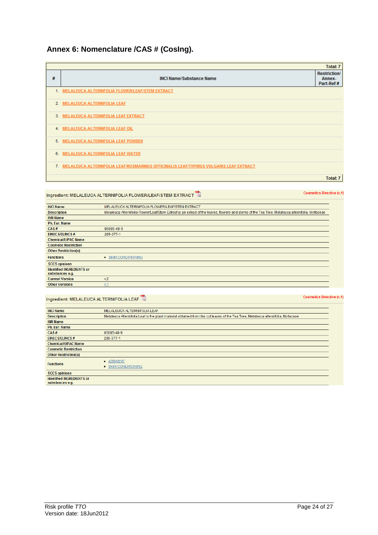### **Annex 6: Nomenclature /CAS # (CosIng).**

|   |                                                                                         | <b>Total: 7</b>                            |
|---|-----------------------------------------------------------------------------------------|--------------------------------------------|
| # | <b>INCI Name/Substance Name</b>                                                         | <b>Restriction/</b><br>Annex-<br>Part-Ref# |
|   | 1. MELALEUCA ALTERNIFOLIA FLOWER/LEAF/STEM EXTRACT                                      |                                            |
|   | 2. MELALEUCA ALTERNIFOLIA LEAF                                                          |                                            |
|   | 3. MELALEUCA ALTERNIFOLIA LEAF EXTRACT                                                  |                                            |
|   | 4. MELALEUCA ALTERNIFOLIA LEAF OIL                                                      |                                            |
|   | 5. MELALEUCA ALTERNIFOLIA LEAF POWDER                                                   |                                            |
|   | 6. MELALEUCA ALTERNIFOLIA LEAF WATER                                                    |                                            |
|   | 7. MELALEUCA ALTERNIFOLIA LEAF/ROSMARINUS OFFICINALIS LEAF/THYMUS VULGARIS LEAF EXTRACT |                                            |
|   |                                                                                         | <b>Total: 7</b>                            |

### Ingredient: MELALEUCA ALTERNIFOLIA FLOWER/LEAF/STEM EXTRACT

**INCI Name** MELALEUCA ALTERNIFOLIA FLOWER/LEAF/STEM EXTRACT **Description** Melaleuca Alternifolia Flower/Leaf/Stem Extract is an extract of the leaves, flowers and stems of the Tea Tree, Melaleuca alternifolia, Myrtaceae **INN Name** Ph. Eur. Name  $CAS#$ 85085-48-9 285-377-1 EINECS/ELINCS# Chemical/IUPAC Name **Cosmetic Restriction** Other Restriction(s) **Functions** • SKIN CONDITIONING **SCCS opinions** Identified INGREDIENTS or<br>substances e.g. **Current Version**  $v.2$ Other Versions  $v.1$ 

### Ingredient: MELALEUCA ALTERNIFOLIA LEAF

**Cosmetics Directive (v.1)** 

**Cosmetics Directive (v.1)** 

| <b>INCI Name</b>                                    | MELALEUCA ALTERNIFOLIA LEAF                                                                                                       |
|-----------------------------------------------------|-----------------------------------------------------------------------------------------------------------------------------------|
| <b>Description</b>                                  | Melaleuca Alternifolia Leaf is the plant material obtained from the cut leaves of the Tea Tree, Melaleuca alternifolia, Myrtaceae |
| <b>INN Name</b>                                     |                                                                                                                                   |
| Ph. Eur. Name                                       |                                                                                                                                   |
| CAS#                                                | 85085-48-9                                                                                                                        |
| <b>EINECS/ELINCS#</b>                               | 285-377-1                                                                                                                         |
| <b>Chemical/IUPAC Name</b>                          |                                                                                                                                   |
| <b>Cosmetic Restriction</b>                         |                                                                                                                                   |
| <b>Other Restriction(s)</b>                         |                                                                                                                                   |
| <b>Functions</b>                                    | • ABRASIVE<br>• SKIN CONDITIONING                                                                                                 |
| <b>SCCS opinions</b>                                |                                                                                                                                   |
| <b>Identified INGREDIENTS or</b><br>substances e.g. |                                                                                                                                   |
|                                                     |                                                                                                                                   |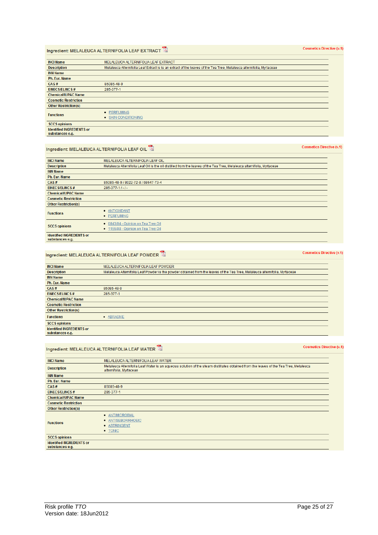Version date: 18Jun2012

### Ingredient: MELALEUCA ALTERNIFOLIA LEAF EXTRACT

| <b>INCI Name</b>                                    | MELALEUCA ALTERNIFOLIA LEAF EXTRACT                                                                                   |
|-----------------------------------------------------|-----------------------------------------------------------------------------------------------------------------------|
| <b>Description</b>                                  | Melaleuca Alternifolia Leaf Extract is is an extract of the leaves of the Tea Tree, Melaleuca alternifolia, Myrtaceae |
| <b>INN Name</b>                                     |                                                                                                                       |
| Ph. Eur. Name                                       |                                                                                                                       |
| CAS#                                                | 85085-48-9                                                                                                            |
| <b>EINECS/ELINCS#</b>                               | 285-377-1                                                                                                             |
| <b>Chemical/IUPAC Name</b>                          |                                                                                                                       |
| <b>Cosmetic Restriction</b>                         |                                                                                                                       |
| <b>Other Restriction(s)</b>                         |                                                                                                                       |
| <b>Functions</b>                                    | • PERFUMING<br>• SKIN CONDITIONING                                                                                    |
| <b>SCCS opinions</b>                                |                                                                                                                       |
| <b>Identified INGREDIENTS or</b><br>substances e.g. |                                                                                                                       |

### Ingredient: MELALEUCA ALTERNIFOLIA LEAF OIL

| <b>INCI Name</b>                                   | MELALEUCA ALTERNIFOLIA LEAF OIL                                                                                         |
|----------------------------------------------------|-------------------------------------------------------------------------------------------------------------------------|
| <b>Description</b>                                 | Melaleuca Alternifolia Leaf Oil is the oil distilled from the leaves of the Tea Tree, Melaleuca alternifolia, Myrtaceae |
| <b>INN Name</b>                                    |                                                                                                                         |
| <b>Ph. Eur. Name</b>                               |                                                                                                                         |
| CAS#                                               | 85085-48-9 / 8022-72-8 / 68647-73-4                                                                                     |
| <b>EINECS/ELINCS#</b>                              | $285 - 377 - 11 - 1$                                                                                                    |
| <b>Chemical/IUPAC Name</b>                         |                                                                                                                         |
| <b>Cosmetic Restriction</b>                        |                                                                                                                         |
| <b>Other Restriction(s)</b>                        |                                                                                                                         |
| <b>Functions</b>                                   | • ANTIOXIDANT<br>• PERFUMING                                                                                            |
| <b>SCCS opinions</b>                               | • 0843/04 - Opinion on Tea Tree Oil<br>• 1155/08 - Opinion on Tea Tree Oil                                              |
| <b>Identified INGREDIENTS or</b><br>eubetancos o a |                                                                                                                         |

#### Ingredient: MELALEUCA ALTERNIFOLIA LEAF POWDER

| <b>INCI Name</b>                                    | MELALEUCA ALTERNIFOLIA LEAF POWDER                                                                                           |
|-----------------------------------------------------|------------------------------------------------------------------------------------------------------------------------------|
| <b>Description</b>                                  | Melaleuca Alternifolia Leaf Powder is the powder obtained from the leaves of the Tea Tree, Melaleuca alternifolia, Myrtaceae |
| <b>INN Name</b>                                     |                                                                                                                              |
| Ph. Eur. Name                                       |                                                                                                                              |
| CAS#                                                | 85085-48-9                                                                                                                   |
| <b>EINECS/ELINCS#</b>                               | 285-377-1                                                                                                                    |
| <b>Chemical/IUPAC Name</b>                          |                                                                                                                              |
| <b>Cosmetic Restriction</b>                         |                                                                                                                              |
| <b>Other Restriction(s)</b>                         |                                                                                                                              |
| <b>Functions</b>                                    | ABRASIVE<br>$\bullet$                                                                                                        |
| <b>SCCS opinions</b>                                |                                                                                                                              |
| <b>Identified INGREDIENTS or</b><br>substances e.g. |                                                                                                                              |

#### Ingredient: MELALEUCA ALTERNIFOLIA LEAF WATER

**INCI Name** MELALEUCA ALTERNIFOLIA LEAF WATER Melaleuca Alternifolia Leaf Water is an aqueous solution of the steam distillates obtained from the leaves of the Tea Tree, Melaleuca **Description** alternifolia, Myrtaceae **INN Name** Ph. Eur. Name 85085-48-9  $CAS#$ EINECS/ELINCS# 285-377-1 **Chemical/IUPAC Name Cosmetic Restriction** Other Restriction(s) · ANTIMICROBIAL · ANTISEBORRHOEIC **Functions** · ASTRINGENT  $\bullet$  TONIC **SCCS opinions** Identified INGREDIENTS or<br>substances e.g.

**Cosmetics Directive (v.1)** 

**Cosmetics Directive (v.1)** 

**Cosmetics Directive (v.1)** 

### **Cosmetics Directive (v.1)**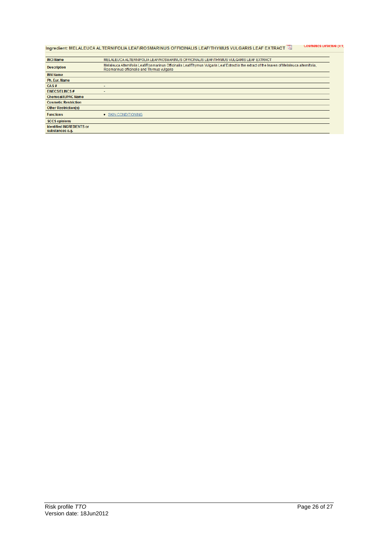### Ingredient: MELALEUCA ALTERNIFOLIA LEAF/ROSMARINUS OFFICINALIS LEAF/THYMUS VULGARIS LEAF EXTRACT<sup>T</sup>A Cosmetics Directive (V.1)

| <b>INCI Name</b>                 | MELALEUCA ALTERNIFOLIA LEAF/ROSMARINUS OFFICINALIS LEAF/THYMUS VULGARIS LEAF EXTRACT                                                                                                       |
|----------------------------------|--------------------------------------------------------------------------------------------------------------------------------------------------------------------------------------------|
| <b>Description</b>               | Melaleuca Alternifolia Leaf/Rosmarinus Officinalis Leaf/Thymus Vulgaris Leaf Extract is the extract of the leaves of Melaleuca alternifolia,<br>Rosmarinus officinalis and Thymus vulgaris |
| <b>INN Name</b>                  |                                                                                                                                                                                            |
| Ph. Eur. Name                    |                                                                                                                                                                                            |
| CAS#                             |                                                                                                                                                                                            |
| <b>EINECS/ELINCS#</b>            |                                                                                                                                                                                            |
| <b>Chemical/IUPAC Name</b>       |                                                                                                                                                                                            |
| <b>Cosmetic Restriction</b>      |                                                                                                                                                                                            |
| <b>Other Restriction(s)</b>      |                                                                                                                                                                                            |
| <b>Functions</b>                 | • SKIN CONDITIONING                                                                                                                                                                        |
| <b>SCCS opinions</b>             |                                                                                                                                                                                            |
| <b>Identified INGREDIENTS or</b> |                                                                                                                                                                                            |
| substances e.g.                  |                                                                                                                                                                                            |